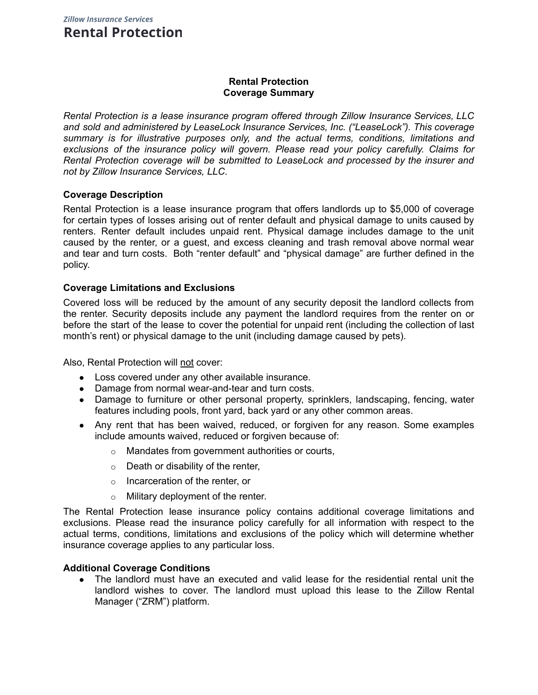## **Rental Protection Coverage Summary**

*Rental Protection is a lease insurance program offered through Zillow Insurance Services, LLC and sold and administered by LeaseLock Insurance Services, Inc. ("LeaseLock"). This coverage summary is for illustrative purposes only, and the actual terms, conditions, limitations and exclusions of the insurance policy will govern. Please read your policy carefully. Claims for Rental Protection coverage will be submitted to LeaseLock and processed by the insurer and not by Zillow Insurance Services, LLC*.

## **Coverage Description**

Rental Protection is a lease insurance program that offers landlords up to \$5,000 of coverage for certain types of losses arising out of renter default and physical damage to units caused by renters. Renter default includes unpaid rent. Physical damage includes damage to the unit caused by the renter, or a guest, and excess cleaning and trash removal above normal wear and tear and turn costs. Both "renter default" and "physical damage" are further defined in the policy.

## **Coverage Limitations and Exclusions**

Covered loss will be reduced by the amount of any security deposit the landlord collects from the renter. Security deposits include any payment the landlord requires from the renter on or before the start of the lease to cover the potential for unpaid rent (including the collection of last month's rent) or physical damage to the unit (including damage caused by pets).

Also, Rental Protection will not cover:

- Loss covered under any other available insurance.
- Damage from normal wear-and-tear and turn costs.
- Damage to furniture or other personal property, sprinklers, landscaping, fencing, water features including pools, front yard, back yard or any other common areas.
- Any rent that has been waived, reduced, or forgiven for any reason. Some examples include amounts waived, reduced or forgiven because of:
	- o Mandates from government authorities or courts,
	- $\circ$  Death or disability of the renter,
	- o Incarceration of the renter, or
	- o Military deployment of the renter.

The Rental Protection lease insurance policy contains additional coverage limitations and exclusions. Please read the insurance policy carefully for all information with respect to the actual terms, conditions, limitations and exclusions of the policy which will determine whether insurance coverage applies to any particular loss.

#### **Additional Coverage Conditions**

• The landlord must have an executed and valid lease for the residential rental unit the landlord wishes to cover. The landlord must upload this lease to the Zillow Rental Manager ("ZRM") platform.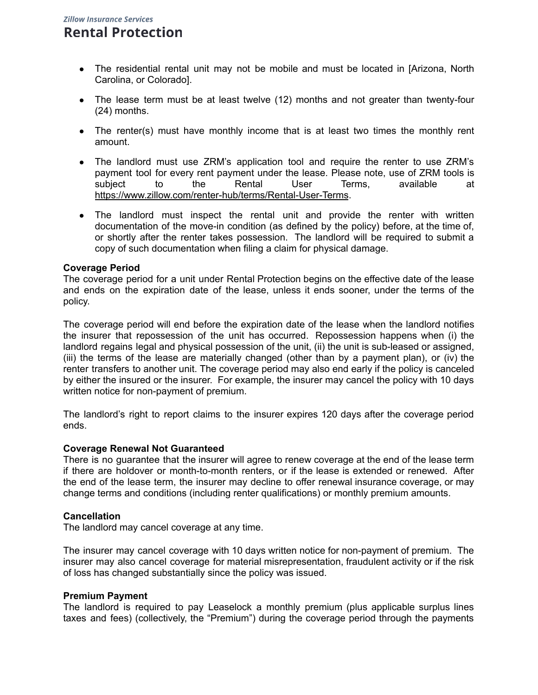# **Rental Protection**

- The residential rental unit may not be mobile and must be located in [Arizona, North Carolina, or Colorado].
- The lease term must be at least twelve (12) months and not greater than twenty-four (24) months.
- The renter(s) must have monthly income that is at least two times the monthly rent amount.
- The landlord must use ZRM's application tool and require the renter to use ZRM's payment tool for every rent payment under the lease. Please note, use of ZRM tools is subject to the Rental User Terms, available at [https://www.zillow.com/renter-hub/terms/Rental-User-Terms.](https://www.zillow.com/renter-hub/terms/Rental-User-Terms)
- The landlord must inspect the rental unit and provide the renter with written documentation of the move-in condition (as defined by the policy) before, at the time of, or shortly after the renter takes possession. The landlord will be required to submit a copy of such documentation when filing a claim for physical damage.

## **Coverage Period**

The coverage period for a unit under Rental Protection begins on the effective date of the lease and ends on the expiration date of the lease, unless it ends sooner, under the terms of the policy.

The coverage period will end before the expiration date of the lease when the landlord notifies the insurer that repossession of the unit has occurred. Repossession happens when (i) the landlord regains legal and physical possession of the unit, (ii) the unit is sub-leased or assigned, (iii) the terms of the lease are materially changed (other than by a payment plan), or (iv) the renter transfers to another unit. The coverage period may also end early if the policy is canceled by either the insured or the insurer. For example, the insurer may cancel the policy with 10 days written notice for non-payment of premium.

The landlord's right to report claims to the insurer expires 120 days after the coverage period ends.

## **Coverage Renewal Not Guaranteed**

There is no guarantee that the insurer will agree to renew coverage at the end of the lease term if there are holdover or month-to-month renters, or if the lease is extended or renewed. After the end of the lease term, the insurer may decline to offer renewal insurance coverage, or may change terms and conditions (including renter qualifications) or monthly premium amounts.

## **Cancellation**

The landlord may cancel coverage at any time.

The insurer may cancel coverage with 10 days written notice for non-payment of premium. The insurer may also cancel coverage for material misrepresentation, fraudulent activity or if the risk of loss has changed substantially since the policy was issued.

#### **Premium Payment**

The landlord is required to pay Leaselock a monthly premium (plus applicable surplus lines taxes and fees) (collectively, the "Premium") during the coverage period through the payments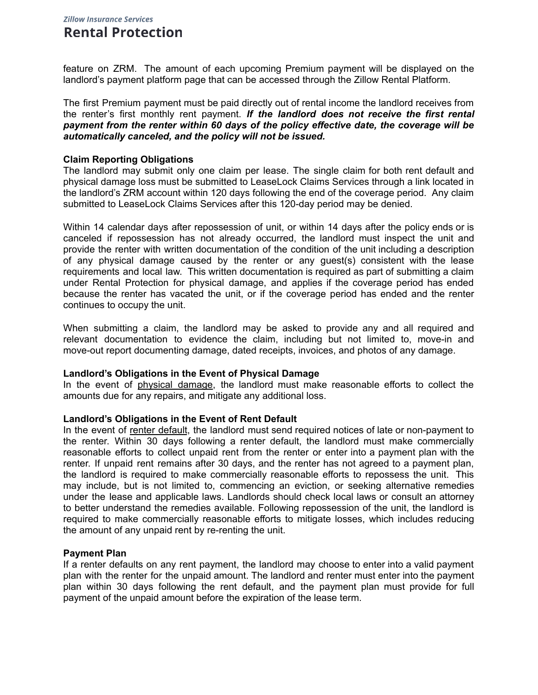## **Zillow Insurance Services Rental Protection**

feature on ZRM. The amount of each upcoming Premium payment will be displayed on the landlord's payment platform page that can be accessed through the Zillow Rental Platform.

The first Premium payment must be paid directly out of rental income the landlord receives from the renter's first monthly rent payment. *If the landlord does not receive the first rental payment from the renter within 60 days of the policy effective date, the coverage will be automatically canceled, and the policy will not be issued.*

#### **Claim Reporting Obligations**

The landlord may submit only one claim per lease. The single claim for both rent default and physical damage loss must be submitted to LeaseLock Claims Services through a link located in the landlord's ZRM account within 120 days following the end of the coverage period. Any claim submitted to LeaseLock Claims Services after this 120-day period may be denied.

Within 14 calendar days after repossession of unit, or within 14 days after the policy ends or is canceled if repossession has not already occurred, the landlord must inspect the unit and provide the renter with written documentation of the condition of the unit including a description of any physical damage caused by the renter or any guest(s) consistent with the lease requirements and local law. This written documentation is required as part of submitting a claim under Rental Protection for physical damage, and applies if the coverage period has ended because the renter has vacated the unit, or if the coverage period has ended and the renter continues to occupy the unit.

When submitting a claim, the landlord may be asked to provide any and all required and relevant documentation to evidence the claim, including but not limited to, move-in and move-out report documenting damage, dated receipts, invoices, and photos of any damage.

#### **Landlord's Obligations in the Event of Physical Damage**

In the event of physical damage, the landlord must make reasonable efforts to collect the amounts due for any repairs, and mitigate any additional loss.

#### **Landlord's Obligations in the Event of Rent Default**

In the event of renter default, the landlord must send required notices of late or non-payment to the renter. Within 30 days following a renter default, the landlord must make commercially reasonable efforts to collect unpaid rent from the renter or enter into a payment plan with the renter. If unpaid rent remains after 30 days, and the renter has not agreed to a payment plan, the landlord is required to make commercially reasonable efforts to repossess the unit. This may include, but is not limited to, commencing an eviction, or seeking alternative remedies under the lease and applicable laws. Landlords should check local laws or consult an attorney to better understand the remedies available. Following repossession of the unit, the landlord is required to make commercially reasonable efforts to mitigate losses, which includes reducing the amount of any unpaid rent by re-renting the unit.

#### **Payment Plan**

If a renter defaults on any rent payment, the landlord may choose to enter into a valid payment plan with the renter for the unpaid amount. The landlord and renter must enter into the payment plan within 30 days following the rent default, and the payment plan must provide for full payment of the unpaid amount before the expiration of the lease term.